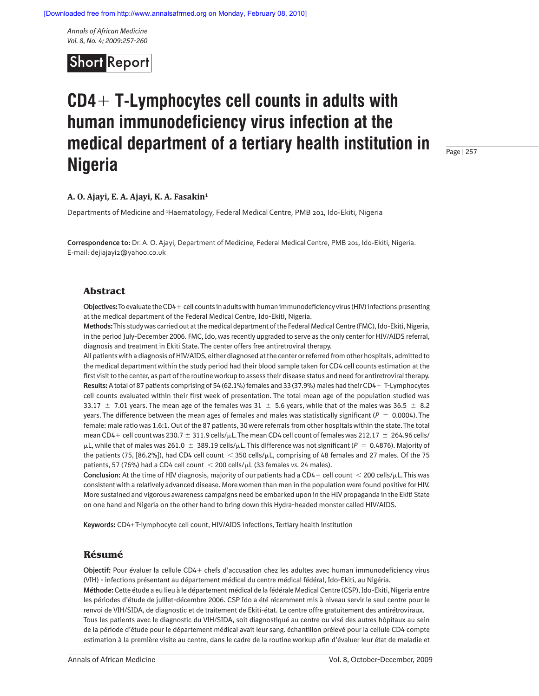*Annals of African Medicine Vol. 8, No. 4; 2009:257-260*



# **CD4 T-Lymphocytes cell counts in adults with human immunodeficiency virus infection at the medical department of a tertiary health institution in Nigeria**

Page | 257

## **A. O. Ajayi, E. A. Ajayi, K. A. Fasakin1**

Departments of Medicine and 1 Haematology, Federal Medical Centre, PMB 201, Ido-Ekiti, Nigeria

**Correspondence to:** Dr. A. O. Ajayi, Department of Medicine, Federal Medical Centre, PMB 201, Ido-Ekiti, Nigeria. E-mail: dejiajayi2@yahoo.co.uk

## **Abstract**

**Objectives:** To evaluate the CD4 + cell counts in adults with human immunodeficiency virus (HIV) infections presenting at the medical department of the Federal Medical Centre, Ido-Ekiti, Nigeria.

**Methods:** This study was carried out at the medical department of the Federal Medical Centre (FMC), Ido-Ekiti, Nigeria, in the period July-December 2006. FMC, Ido, was recently upgraded to serve as the only center for HIV/AIDS referral, diagnosis and treatment in Ekiti State. The center offers free antiretroviral therapy.

All patients with a diagnosis of HIV/AIDS, either diagnosed at the center or referred from other hospitals, admitted to the medical department within the study period had their blood sample taken for CD4 cell counts estimation at the first visit to the center, as part of the routine workup to assess their disease status and need for antiretroviral therapy. Results: A total of 87 patients comprising of 54 (62.1%) females and 33 (37.9%) males had their CD4 + T-Lymphocytes cell counts evaluated within their first week of presentation. The total mean age of the population studied was 33.17  $\pm$  7.01 years. The mean age of the females was 31  $\pm$  5.6 years, while that of the males was 36.5  $\pm$  8.2 years. The difference between the mean ages of females and males was statistically significant ( $P = 0.0004$ ). The female: male ratio was 1.6:1. Out of the 87 patients, 30 were referrals from other hospitals within the state. The total mean CD4+ cell count was 230.7  $\pm$  311.9 cells/ $\mu$ L. The mean CD4 cell count of females was 212.17  $\pm$  264.96 cells/  $\mu$ L, while that of males was 261.0  $\pm$  389.19 cells/ $\mu$ L. This difference was not significant ( $P~=~$  0.4876). Majority of the patients (75, [86.2%]), had CD4 cell count  $\,<$  350 cells/ $\mu$ L, comprising of 48 females and 27 males. Of the 75 patients, 57 (76%) had a CD4 cell count 200 cells/ L (33 females *vs*. 24 males).

**Conclusion:** At the time of HIV diagnosis, majority of our patients had a CD4+ cell count  $\leq$  200 cells/ $\mu$ L. This was consistent with a relatively advanced disease. More women than men in the population were found positive for HIV. More sustained and vigorous awareness campaigns need be embarked upon in the HIV propaganda in the Ekiti State on one hand and Nigeria on the other hand to bring down this Hydra-headed monster called HIV/AIDS.

**Keywords:** CD4+ T-lymphocyte cell count, HIV/AIDS infections, Tertiary health institution

#### **Résumé**

Objectif: Pour évaluer la cellule CD4+ chefs d'accusation chez les adultes avec human immunodeficiency virus (VIH) - infections présentant au département médical du centre médical fédéral, Ido-Ekiti, au Nigéria.

**Méthode:** Cette étude a eu lieu à le département médical de la fédérale Medical Centre (CSP), Ido-Ekiti, Nigeria entre les périodes d'étude de juillet-décembre 2006. CSP Ido a été récemment mis à niveau servir le seul centre pour le renvoi de VIH/SIDA, de diagnostic et de traitement de Ekiti-état. Le centre offre gratuitement des antirétroviraux.

Tous les patients avec le diagnostic du VIH/SIDA, soit diagnostiqué au centre ou visé des autres hôpitaux au sein de la période d'étude pour le département médical avait leur sang. échantillon prélevé pour la cellule CD4 compte estimation à la première visite au centre, dans le cadre de la routine workup afin d'évaluer leur état de maladie et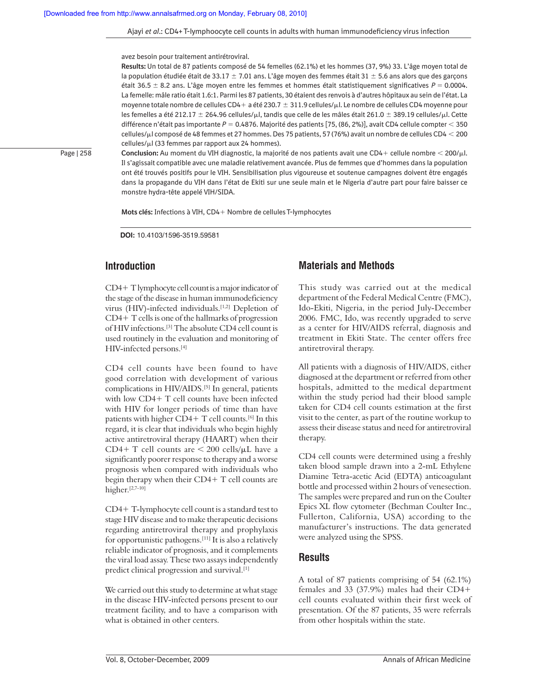Ajayi *et al*.: CD4+T-lymphoocyte cell counts in adults with human immunodeficiency virus infection

avez besoin pour traitement antirétroviral.

**Results:** Un total de 87 patients composé de 54 femelles (62.1%) et les hommes (37, 9%) 33. L'âge moyen total de la population étudiée était de 33.17  $\pm$  7.01 ans. L'âge moyen des femmes était 31  $\pm$  5.6 ans alors que des garçons était 36.5  $\pm$  8.2 ans. L'âge moyen entre les femmes et hommes était statistiquement significatives  $P = 0.0004$ . La femelle: mâle ratio était 1.6:1. Parmi les 87 patients, 30 étaient des renvois à d'autres hôpitaux au sein de l'état. La moyenne totale nombre de cellules CD4+ a été 230.7  $\pm$  311.9 cellules/ $\mu$ l. Le nombre de cellules CD4 moyenne pour les femelles a été 212.17  $\pm$  264.96 cellules/ $\mu$ l, tandis que celle de les mâles était 261.0  $\pm$  389.19 cellules/ $\mu$ l. Cette différence n'était pas importante  $P = 0.4876$ . Majorité des patients [75, (86, 2%)], avait CD4 cellule compter < 350 cellules/ l composé de 48 femmes et 27 hommes. Des 75 patients, 57 (76%) avait un nombre de cellules CD4 200 cellules/µl (33 femmes par rapport aux 24 hommes).

Page | 258

Conclusion: Au moment du VIH diagnostic, la majorité de nos patients avait une CD4+ cellule nombre < 200/µl. Il s'agissait compatible avec une maladie relativement avancée. Plus de femmes que d'hommes dans la population ont été trouvés positifs pour le VIH. Sensibilisation plus vigoureuse et soutenue campagnes doivent être engagés dans la propagande du VIH dans l'état de Ekiti sur une seule main et le Nigeria d'autre part pour faire baisser ce monstre hydra-tête appelé VIH/SIDA.

Mots clés: Infections à VIH, CD4+ Nombre de cellules T-lymphocytes

**DOI:** 10.4103/1596-3519.59581

# **Introduction**

CD4 T lymphocyte cell count is a major indicator of the stage of the disease in human immunodeficiency virus (HIV)-infected individuals.<sup>[1,2]</sup> Depletion of  $CD4+T$  cells is one of the hallmarks of progression of HIV infections.[3] The absolute CD4 cell count is used routinely in the evaluation and monitoring of HIV-infected persons.[4]

CD4 cell counts have been found to have good correlation with development of various complications in HIV/AIDS.<sup>[5]</sup> In general, patients with low  $CD4+T$  cell counts have been infected with HIV for longer periods of time than have patients with higher  $CD4+T$  cell counts.<sup>[6]</sup> In this regard, it is clear that individuals who begin highly active antiretroviral therapy (HAART) when their  $CD4+T$  cell counts are  $\leq 200$  cells/ $\mu$ L have a significantly poorer response to therapy and a worse prognosis when compared with individuals who begin therapy when their  $CD4+T$  cell counts are higher.[2,7-10]

CD4 T-lymphocyte cell count is a standard test to stage HIV disease and to make therapeutic decisions regarding antiretroviral therapy and prophylaxis for opportunistic pathogens.[11] It is also a relatively reliable indicator of prognosis, and it complements the viral load assay. These two assays independently predict clinical progression and survival.[1]

We carried out this study to determine at what stage in the disease HIV-infected persons present to our treatment facility, and to have a comparison with what is obtained in other centers.

# **Materials and Methods**

This study was carried out at the medical department of the Federal Medical Centre (FMC), Ido-Ekiti, Nigeria, in the period July-December 2006. FMC, Ido, was recently upgraded to serve as a center for HIV/AIDS referral, diagnosis and treatment in Ekiti State. The center offers free antiretroviral therapy.

All patients with a diagnosis of HIV/AIDS, either diagnosed at the department or referred from other hospitals, admitted to the medical department within the study period had their blood sample taken for CD4 cell counts estimation at the first visit to the center, as part of the routine workup to assess their disease status and need for antiretroviral therapy.

CD4 cell counts were determined using a freshly taken blood sample drawn into a 2-mL Ethylene Diamine Tetra-acetic Acid (EDTA) anticoagulant bottle and processed within 2 hours of venesection. The samples were prepared and run on the Coulter Epics XL flow cytometer (Bechman Coulter Inc., Fullerton, California, USA) according to the manufacturer's instructions. The data generated were analyzed using the SPSS.

## **Results**

A total of 87 patients comprising of 54 (62.1%) females and 33 (37.9%) males had their CD4 cell counts evaluated within their first week of presentation. Of the 87 patients, 35 were referrals from other hospitals within the state.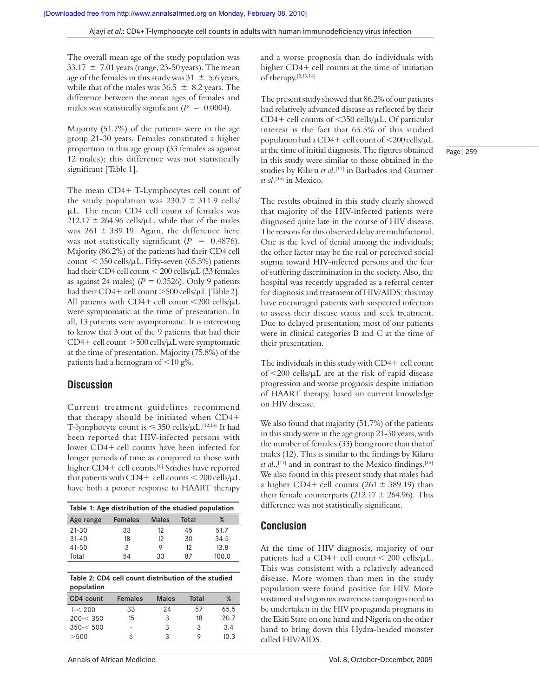The overall mean age of the study population was  $33.17 \pm 7.01$  years (range, 23-50 years). The mean age of the females in this study was  $31 \pm 5.6$  years, while that of the males was  $36.5 \pm 8.2$  years. The difference between the mean ages of females and males was statistically significant ( $P = 0.0004$ ).

Majority (51.7%) of the patients were in the age group 21-30 years. Females constituted a higher proportion in this age group (33 females as against 12 males); this difference was not statistically significant [Table 1].

The mean CD4+ T-Lymphocytes cell count of the study population was  $230.7 \pm 311.9$  cells/ L. The mean CD4 cell count of females was  $212.17 \pm 264.96$  cells/ $\mu$ L, while that of the males was 261  $\pm$  389.19. Again, the difference here was not statistically significant  $(P = 0.4876)$ . Majority (86.2%) of the patients had their CD4 cell  $\text{count} < 350 \text{ cells/}\mu\text{L}$ . Fifty-seven (65.5%) patients had their CD4 cell count < 200 cells/µL (33 females as against 24 males)  $(P = 0.3526)$ . Only 9 patients had their CD4+ cell count >500 cells/µL [Table 2]. All patients with  $CD4+$  cell count  $\langle 200 \text{ cells/}\mu L \rangle$ were symptomatic at the time of presentation. In all, 13 patients were asymptomatic. It is interesting to know that 3 out of the 9 patients that had their  $CD4+$  cell count  $>500$  cells/ $\mu$ L were symptomatic at the time of presentation. Majority (75.8%) of the patients had a hemogram of  $\leq 10$  g%.

## **Discussion**

Current treatment guidelines recommend that therapy should be initiated when CD4 T-lymphocyte count is  $\leq 350$  cells/ $\mu$ L.<sup>[12,13]</sup> It had been reported that HIV-infected persons with lower CD4+ cell counts have been infected for longer periods of time as compared to those with higher CD4+ cell counts.<sup>[6]</sup> Studies have reported that patients with CD4+ cell counts  $<$  200 cells/ $\mu$ L have both a poorer response to HAART therapy

| Table 1: Age distribution of the studied population |       |       |       |  |  |  |
|-----------------------------------------------------|-------|-------|-------|--|--|--|
| <b>Females</b>                                      | Males | Total | ℅     |  |  |  |
| 33                                                  | 12    | 45    | 51.7  |  |  |  |
| 18                                                  | 12    | 30    | 34.5  |  |  |  |
| 3                                                   | Q     | 12    | 13.8  |  |  |  |
| 54                                                  | 33    | 87    | 100.0 |  |  |  |
|                                                     |       |       |       |  |  |  |

| Table 2: CD4 cell count distribution of the studied |  |
|-----------------------------------------------------|--|
| population                                          |  |

| CD4 count | <b>Females</b> | Males | Total | %    |
|-----------|----------------|-------|-------|------|
| $1 - 200$ | 33             | 24    | 57    | 65.5 |
| 200 < 350 | 15             | 3     | 18    | 20.7 |
| 350 < 500 |                | 3     | 3     | 3.4  |
| >500      |                | 3     | Q     | 10.3 |

and a worse prognosis than do individuals with higher CD4+ cell counts at the time of initiation of therapy.[2,13,14]

The present study showed that 86.2% of our patients had relatively advanced disease as reflected by their  $CD4+$  cell counts of  $<$ 350 cells/ $\mu$ L. Of particular interest is the fact that 65.5% of this studied population had a CD4+ cell count of  $\langle 200 \text{ cells/}\mu L \rangle$ at the time of initial diagnosis. The figures obtained in this study were similar to those obtained in the studies by Kilaru *et al*. [11] in Barbados and Guarner *et al*. [15] in Mexico.

Page | 259

The results obtained in this study clearly showed that majority of the HIV-infected patients were diagnosed quite late in the course of HIV disease. The reasons for this observed delay are multifactorial. One is the level of denial among the individuals; the other factor may be the real or perceived social stigma toward HIV-infected persons and the fear of suffering discrimination in the society. Also, the hospital was recently upgraded as a referral center for diagnosis and treatment of HIV/AIDS; this may have encouraged patients with suspected infection to assess their disease status and seek treatment. Due to delayed presentation, most of our patients were in clinical categories B and C at the time of their presentation.

The individuals in this study with  $CD4+$  cell count of 200 cells/ L are at the risk of rapid disease progression and worse prognosis despite initiation of HAART therapy, based on current knowledge on HIV disease.

We also found that majority (51.7%) of the patients in this study were in the age group 21-30 years, with the number of females (33) being more than that of males (12). This is similar to the findings by Kilaru *et al*.,[11] and in contrast to the Mexico findings.[15] We also found in this present study that males had a higher CD4+ cell counts (261  $\pm$  389.19) than their female counterparts (212.17  $\pm$  264.96). This difference was not statistically significant.

## **Conclusion**

At the time of HIV diagnosis, majority of our patients had a CD4+ cell count  $\leq 200$  cells/ $\mu$ L. This was consistent with a relatively advanced disease. More women than men in the study population were found positive for HIV. More sustained and vigorous awareness campaigns need to be undertaken in the HIV propaganda programs in the Ekiti State on one hand and Nigeria on the other hand to bring down this Hydra-headed monster called HIV/AIDS.